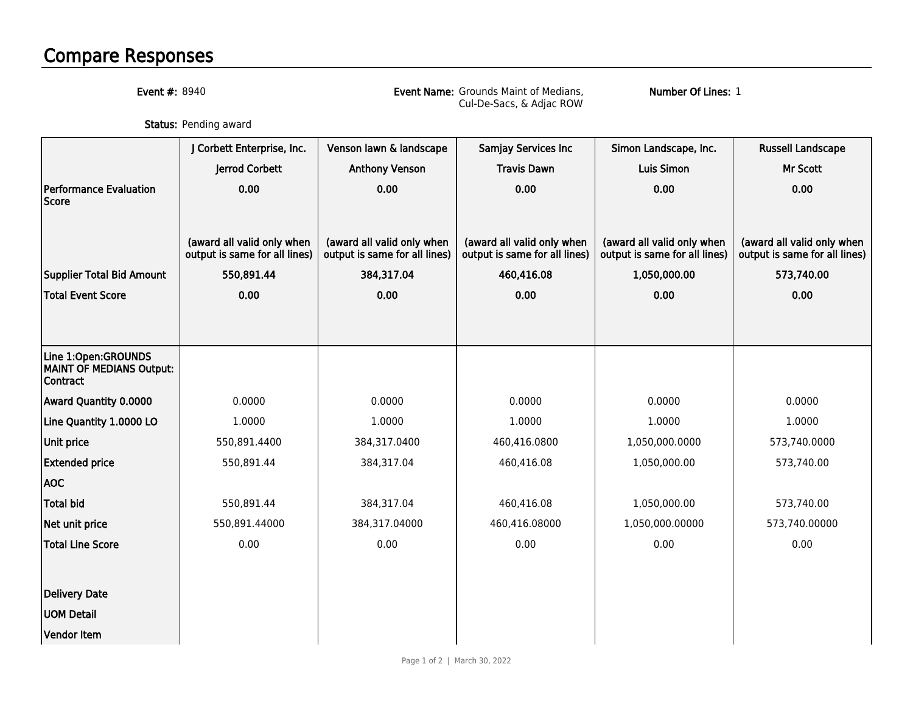## Compare Responses

Event #: 8940

 Event Name: Grounds Maint of Medians, Cul-De-Sacs, & Adjac ROW

Number Of Lines: 1

**Status:** Pending award

|                                                                           | J Corbett Enterprise, Inc.                                  | Venson lawn & landscape                                     | Samjay Services Inc                                         | Simon Landscape, Inc.                                       | <b>Russell Landscape</b>                                    |
|---------------------------------------------------------------------------|-------------------------------------------------------------|-------------------------------------------------------------|-------------------------------------------------------------|-------------------------------------------------------------|-------------------------------------------------------------|
|                                                                           | Jerrod Corbett                                              | <b>Anthony Venson</b>                                       | <b>Travis Dawn</b>                                          | <b>Luis Simon</b>                                           | Mr Scott                                                    |
| <b>Performance Evaluation</b><br><b>Score</b>                             | 0.00                                                        | 0.00                                                        | 0.00                                                        | 0.00                                                        | 0.00                                                        |
|                                                                           | (award all valid only when<br>output is same for all lines) | (award all valid only when<br>output is same for all lines) | (award all valid only when<br>output is same for all lines) | (award all valid only when<br>output is same for all lines) | (award all valid only when<br>output is same for all lines) |
| <b>Supplier Total Bid Amount</b>                                          | 550,891.44                                                  | 384,317.04                                                  | 460,416.08                                                  | 1,050,000.00                                                | 573,740.00                                                  |
| <b>Total Event Score</b>                                                  | 0.00                                                        | 0.00                                                        | 0.00                                                        | 0.00                                                        | 0.00                                                        |
|                                                                           |                                                             |                                                             |                                                             |                                                             |                                                             |
| Line 1:Open:GROUNDS<br><b>MAINT OF MEDIANS Output:</b><br><b>Contract</b> |                                                             |                                                             |                                                             |                                                             |                                                             |
| Award Quantity 0.0000                                                     | 0.0000                                                      | 0.0000                                                      | 0.0000                                                      | 0.0000                                                      | 0.0000                                                      |
| Line Quantity 1.0000 LO                                                   | 1.0000                                                      | 1.0000                                                      | 1.0000                                                      | 1.0000                                                      | 1.0000                                                      |
| Unit price                                                                | 550,891.4400                                                | 384,317.0400                                                | 460,416.0800                                                | 1,050,000.0000                                              | 573,740.0000                                                |
| <b>Extended price</b>                                                     | 550,891.44                                                  | 384,317.04                                                  | 460,416.08                                                  | 1,050,000.00                                                | 573,740.00                                                  |
| <b>AOC</b>                                                                |                                                             |                                                             |                                                             |                                                             |                                                             |
| Total bid                                                                 | 550,891.44                                                  | 384,317.04                                                  | 460,416.08                                                  | 1,050,000.00                                                | 573,740.00                                                  |
| Net unit price                                                            | 550,891.44000                                               | 384,317.04000                                               | 460,416.08000                                               | 1,050,000.00000                                             | 573,740.00000                                               |
| <b>Total Line Score</b>                                                   | 0.00                                                        | 0.00                                                        | 0.00                                                        | 0.00                                                        | 0.00                                                        |
|                                                                           |                                                             |                                                             |                                                             |                                                             |                                                             |
| <b>Delivery Date</b>                                                      |                                                             |                                                             |                                                             |                                                             |                                                             |
| <b>UOM Detail</b>                                                         |                                                             |                                                             |                                                             |                                                             |                                                             |
| <b>Vendor Item</b>                                                        |                                                             |                                                             |                                                             |                                                             |                                                             |